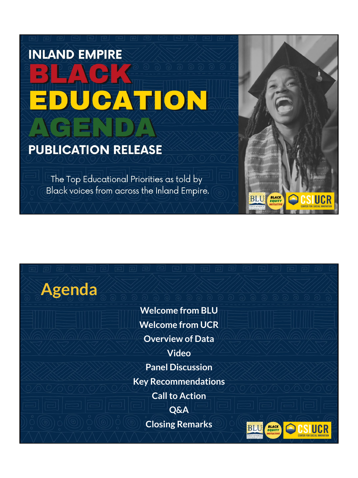# **INLAND EMPIRE** JCATION

#### **PUBLICATION RELEASE**

The Top Educational Priorities as told by Black voices from across the Inland Empire.

# **Agenda**

**Welcome from BLU Welcome from UCR Overview of Data Video Panel Discussion Key Recommendations Call to Action Q&A Closing Remarks**



**BLACK**<br>EQUITY

**BLU**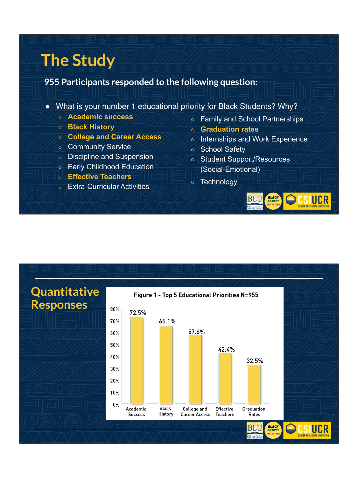### **The Study**

#### **955 Participants responded to the following question:**

- **●** What is your number 1 educational priority for Black Students? Why?
	- **○ Academic success**
	- **○ Black History**
	- **○ College and Career Access**
	- **○** Community Service
	- **○** Discipline and Suspension
	- **○** Early Childhood Education
	- **○ Effective Teachers**
	- **○** Extra-Curricular Activities
- **○** Family and School Partnerships
- **○ Graduation rates**
- **○** Internships and Work Experience

**BLACK**<br>EQUITY

- **○** School Safety
- **○** Student Support/Resources (Social-Emotional)
- **○** Technology

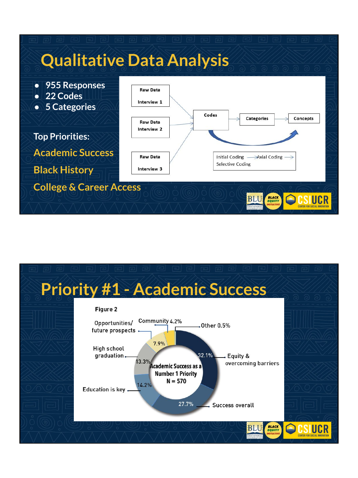

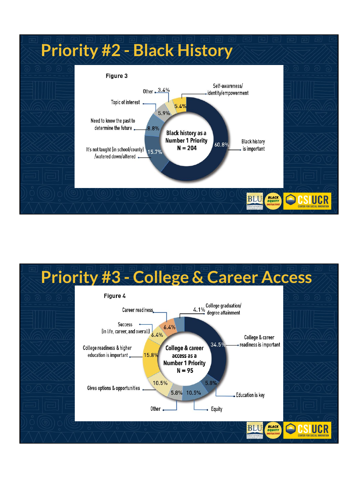

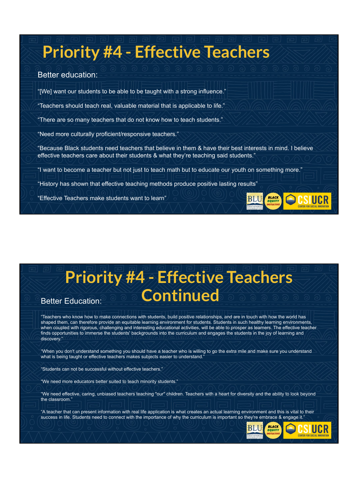## **Priority #4 - Effective Teachers**

#### Better education:

"[We] want our students to be able to be taught with a strong influence."

"Teachers should teach real, valuable material that is applicable to life."

"There are so many teachers that do not know how to teach students."

"Need more culturally proficient/responsive teachers."

"Because Black students need teachers that believe in them & have their best interests in mind. I believe effective teachers care about their students & what they're teaching said students."

"I want to become a teacher but not just to teach math but to educate our youth on something more."

"History has shown that effective teaching methods produce positive lasting results"

"Effective Teachers make students want to learn"

### **Priority #4 - Effective Teachers Better Education: Continued**

"Teachers who know how to make connections with students, build positive relationships, and are in touch with how the world has shaped them, can therefore provide an equitable learning environment for students. Students in such healthy learning environments, when coupled with rigorous, challenging and interesting educational activities, will be able to prosper as learners. The effective teacher finds opportunities to immerse the students' backgrounds into the curriculum and engages the students in the joy of learning and discovery."

"When you don't understand something you should have a teacher who is willing to go the extra mile and make sure you understand what is being taught or effective teachers makes subjects easier to understand.

"Students can not be successful without effective teachers."

"We need more educators better suited to teach minority students."

"We need effective, caring, unbiased teachers teaching "our" children. Teachers with a heart for diversity and the ability to look beyond the classroom."

"A teacher that can present information with real life application is what creates an actual learning environment and this is vital to their success in life. Students need to connect with the importance of why the curriculum is important so they're embrace & engage it."

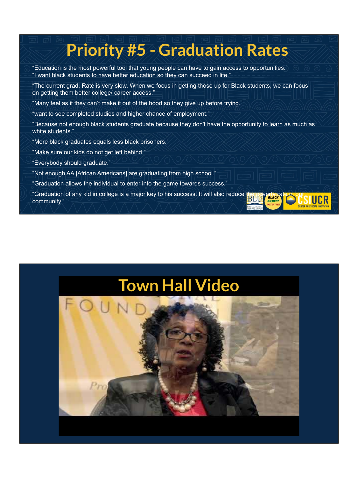## **Priority #5 - Graduation Rates**

- "Education is the most powerful tool that young people can have to gain access to opportunities." "I want black students to have better education so they can succeed in life."
- "The current grad. Rate is very slow. When we focus in getting those up for Black students, we can focus on getting them better college/ career access."
- "Many feel as if they can't make it out of the hood so they give up before trying."
- "want to see completed studies and higher chance of employment."
- "Because not enough black students graduate because they don't have the opportunity to learn as much as white students."
- "More black graduates equals less black prisoners."
- "Make sure our kids do not get left behind."
- "Everybody should graduate."
- "Not enough AA [African Americans] are graduating from high school."
- "Graduation allows the individual to enter into the game towards success."
- "Graduation of any kid in college is a major key to his success. It will also reduce the poverty re-<br>community " community."

### **[Town Hall Video](http://www.youtube.com/watch?v=Uf1kmqmqeiE)**

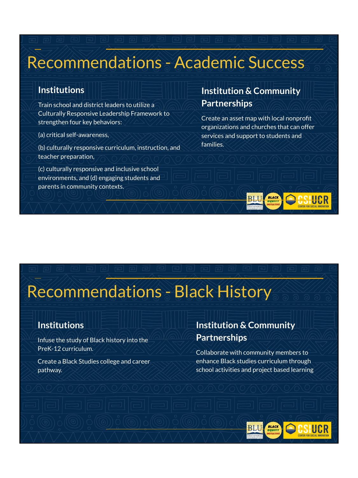### Recommendations - Academic Success

#### **Institutions**

Train school and district leaders to utilize a Culturally Responsive Leader ship Framework to strengthen four key behaviors:

(a) critical self-awareness,

(b) culturally responsive curriculum, instruction, and teacher preparation,

(c) culturally responsive and inclusive school environments, and (d) engaging students and parents in community contexts.

#### **Institution & Community Partnerships**

Create an asset map with local nonprofit organizations and churches that can offer services and support to students and families.

### Recommendations - Black History

#### **Institutions**

Infuse the study of Black history into the PreK-12 curriculum.

Create a Black Studies college and career pathway.

#### **Institution & Community Partnerships**

Collaborate with community members to enhance Black studies curriculum through school activities and project based learning

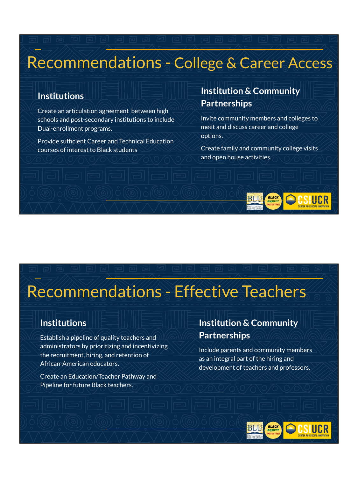### Recommendations - College & Career Access

#### **Institutions**

Create an articulation agreement between high schools and post-secondary institutions to include Dual-enrollment programs.

Provide sufficient Career and Technical Education courses of interest to Black students

#### **Institution & Community Partnerships**

Invite community members and colleges to meet and discuss career and college options.

Create family and community college visits and open house activities.

### Recommendations - Effective Teachers

#### **Institutions**

Establish a pipeline of quality teachers and administrators by prioritizing and incentivizing the recruitment, hiring, and retention of African-American educators.

Create an Education/Teacher Pathway and Pipeline for future Black teachers.

#### **Institution & Community Partnerships**

Include parents and community members as an integral part of the hiring and development of teachers and professors.

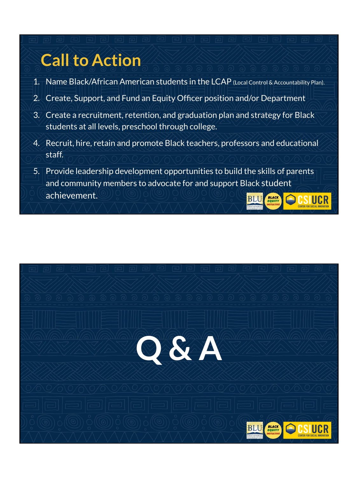## **Call to Action**

- 1. Name Black/African American students in the LCAP (Local Control & Accountability Plan).
- 2. Create, Support, and Fund an Equity Officer position and/or Department
- 3. Create a recruitment, retention, and graduation plan and strategy for Black students at all levels, preschool through college.
- 4. Recruit, hire, retain and promote Black teachers, professors and educational staff.
- 5. Provide leadership development opportunities to build the skills of parents and community members to advocate for and support Black student achievement. SIUCR